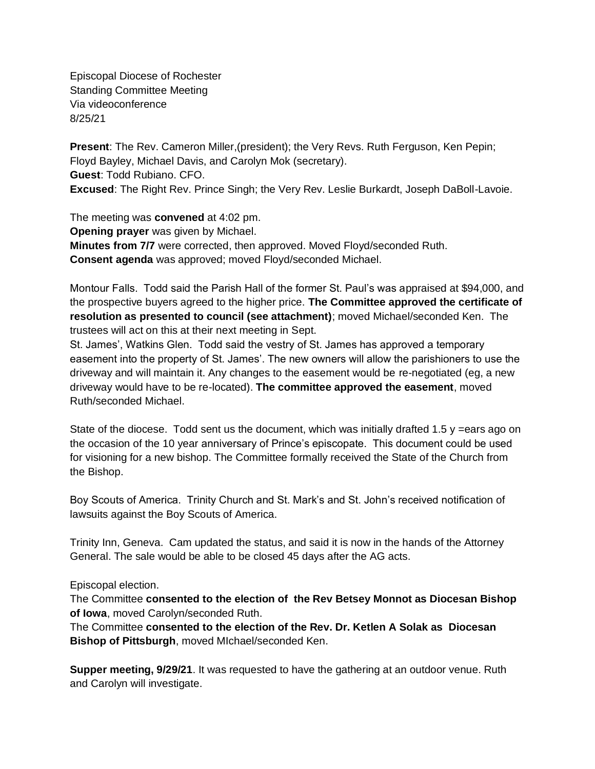Episcopal Diocese of Rochester Standing Committee Meeting Via videoconference 8/25/21

**Present**: The Rev. Cameron Miller,(president); the Very Revs. Ruth Ferguson, Ken Pepin; Floyd Bayley, Michael Davis, and Carolyn Mok (secretary). **Guest**: Todd Rubiano. CFO. **Excused**: The Right Rev. Prince Singh; the Very Rev. Leslie Burkardt, Joseph DaBoll-Lavoie.

The meeting was **convened** at 4:02 pm. **Opening prayer** was given by Michael. **Minutes from 7/7** were corrected, then approved. Moved Floyd/seconded Ruth. **Consent agenda** was approved; moved Floyd/seconded Michael.

Montour Falls. Todd said the Parish Hall of the former St. Paul's was appraised at \$94,000, and the prospective buyers agreed to the higher price. **The Committee approved the certificate of resolution as presented to council (see attachment)**; moved Michael/seconded Ken. The trustees will act on this at their next meeting in Sept.

St. James', Watkins Glen. Todd said the vestry of St. James has approved a temporary easement into the property of St. James'. The new owners will allow the parishioners to use the driveway and will maintain it. Any changes to the easement would be re-negotiated (eg, a new driveway would have to be re-located). **The committee approved the easement**, moved Ruth/seconded Michael.

State of the diocese. Todd sent us the document, which was initially drafted 1.5 y = ears ago on the occasion of the 10 year anniversary of Prince's episcopate. This document could be used for visioning for a new bishop. The Committee formally received the State of the Church from the Bishop.

Boy Scouts of America. Trinity Church and St. Mark's and St. John's received notification of lawsuits against the Boy Scouts of America.

Trinity Inn, Geneva. Cam updated the status, and said it is now in the hands of the Attorney General. The sale would be able to be closed 45 days after the AG acts.

Episcopal election.

The Committee **consented to the election of the Rev Betsey Monnot as Diocesan Bishop of Iowa**, moved Carolyn/seconded Ruth.

The Committee **consented to the election of the Rev. Dr. Ketlen A Solak as Diocesan Bishop of Pittsburgh**, moved MIchael/seconded Ken.

**Supper meeting, 9/29/21**. It was requested to have the gathering at an outdoor venue. Ruth and Carolyn will investigate.